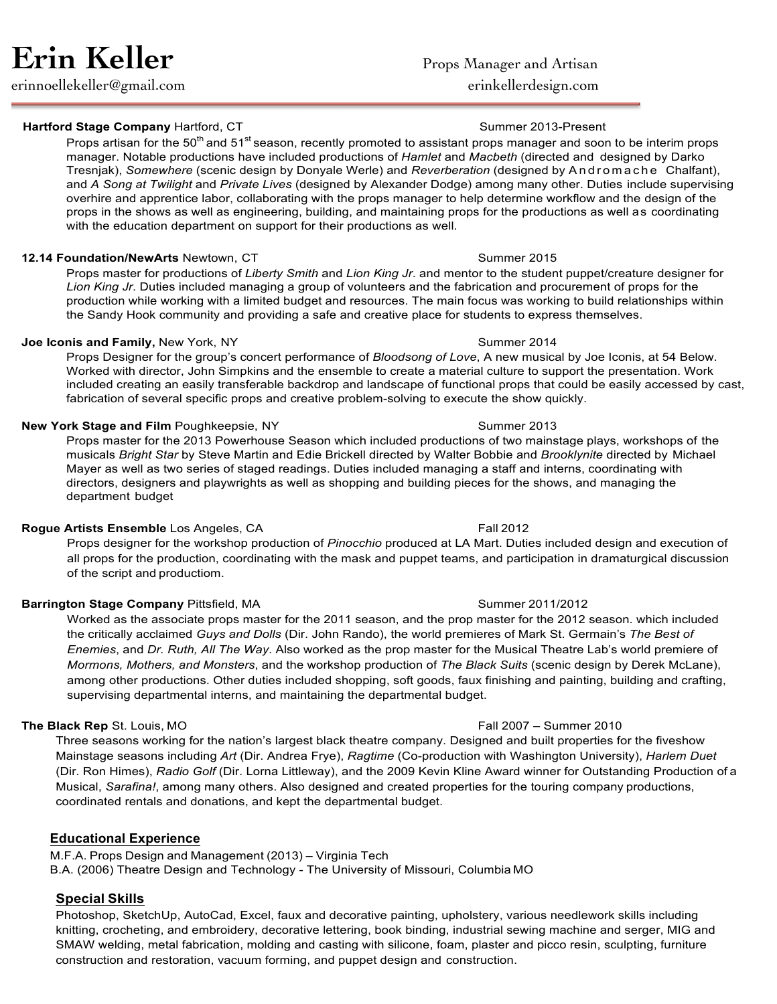erinnoellekeller@gmail.com erinkellerdesign.com

# **Hartford Stage Company Hartford, CT** Summer 2013-Present

Props artisan for the 50<sup>th</sup> and 51<sup>st</sup> season, recently promoted to assistant props manager and soon to be interim props manager. Notable productions have included productions of *Hamlet* and *Macbeth* (directed and designed by Darko Tresnjak), *Somewhere* (scenic design by Donyale Werle) and *Reverberation* (designed by Andromache Chalfant), and *A Song at Twilight* and *Private Lives* (designed by Alexander Dodge) among many other. Duties include supervising overhire and apprentice labor, collaborating with the props manager to help determine workflow and the design of the props in the shows as well as engineering, building, and maintaining props for the productions as well as coordinating with the education department on support for their productions as well.

# **12.14 Foundation/NewArts** Newtown, CT **Summer 2015** Summer 2015

Props master for productions of *Liberty Smith* and *Lion King Jr*. and mentor to the student puppet/creature designer for *Lion King Jr*. Duties included managing a group of volunteers and the fabrication and procurement of props for the production while working with a limited budget and resources. The main focus was working to build relationships within the Sandy Hook community and providing a safe and creative place for students to express themselves.

# **Joe Iconis and Family, New York, NY Summer 2014** Summer 2014

Props Designer for the group's concert performance of *Bloodsong of Love*, A new musical by Joe Iconis, at 54 Below. Worked with director, John Simpkins and the ensemble to create a material culture to support the presentation. Work included creating an easily transferable backdrop and landscape of functional props that could be easily accessed by cast, fabrication of several specific props and creative problem-solving to execute the show quickly.

### **New York Stage and Film Poughkeepsie, NY Summer 2013** Summer 2013

Props master for the 2013 Powerhouse Season which included productions of two mainstage plays, workshops of the musicals *Bright Star* by Steve Martin and Edie Brickell directed by Walter Bobbie and *Brooklynite* directed by Michael Mayer as well as two series of staged readings. Duties included managing a staff and interns, coordinating with directors, designers and playwrights as well as shopping and building pieces for the shows, and managing the department budget

# **Rogue Artists Ensemble** Los Angeles, CA Fall 2012

Props designer for the workshop production of *Pinocchio* produced at LA Mart. Duties included design and execution of all props for the production, coordinating with the mask and puppet teams, and participation in dramaturgical discussion of the script and productiom.

# **Barrington Stage Company Pittsfield, MA Summer 2011/2012 Summer 2011/2012**

Worked as the associate props master for the 2011 season, and the prop master for the 2012 season. which included the critically acclaimed *Guys and Dolls* (Dir. John Rando), the world premieres of Mark St. Germain's *The Best of Enemies*, and *Dr. Ruth, All The Way*. Also worked as the prop master for the Musical Theatre Lab's world premiere of *Mormons, Mothers, and Monsters*, and the workshop production of *The Black Suits* (scenic design by Derek McLane), among other productions. Other duties included shopping, soft goods, faux finishing and painting, building and crafting, supervising departmental interns, and maintaining the departmental budget.

# **The Black Rep** St. Louis, MO **Fall 2007** – Summer 2010

Three seasons working for the nation's largest black theatre company. Designed and built properties for the fiveshow Mainstage seasons including *Art* (Dir. Andrea Frye), *Ragtime* (Co-production with Washington University), *Harlem Duet* (Dir. Ron Himes), *Radio Golf* (Dir. Lorna Littleway), and the 2009 Kevin Kline Award winner for Outstanding Production of a Musical, *Sarafina!*, among many others. Also designed and created properties for the touring company productions, coordinated rentals and donations, and kept the departmental budget.

# **Educational Experience**

M.F.A. Props Design and Management (2013) – Virginia Tech B.A. (2006) Theatre Design and Technology - The University of Missouri, Columbia MO

# **Special Skills**

Photoshop, SketchUp, AutoCad, Excel, faux and decorative painting, upholstery, various needlework skills including knitting, crocheting, and embroidery, decorative lettering, book binding, industrial sewing machine and serger, MIG and SMAW welding, metal fabrication, molding and casting with silicone, foam, plaster and picco resin, sculpting, furniture construction and restoration, vacuum forming, and puppet design and construction.